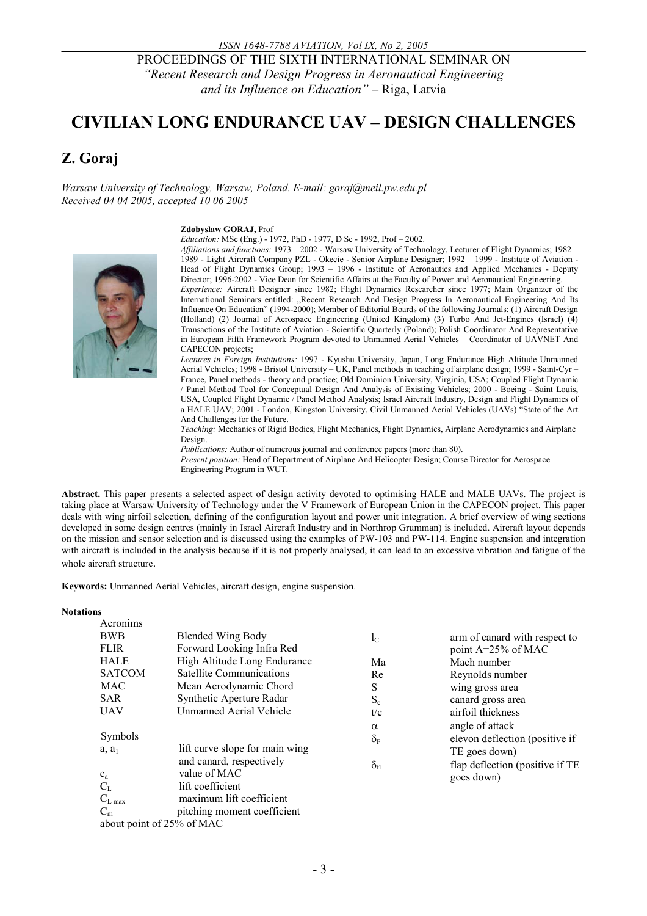PROCEEDINGS OF THE SIXTH INTERNATIONAL SEMINAR ON *"Recent Research and Design Progress in Aeronautical Engineering and its Influence on Education" –* Riga, Latvia

# **CIVILIAN LONG ENDURANCE UAV – DESIGN CHALLENGES**

# **Z. Goraj**

*Warsaw University of Technology, Warsaw, Poland. E-mail: goraj@meil.pw.edu.pl Received 04 04 2005, accepted 10 06 2005* 

#### **Zdobyslaw GORAJ,** Prof

*Education:* MSc (Eng.) - 1972, PhD - 1977, D Sc - 1992, Prof – 2002.



*Affiliations and functions:* 1973 – 2002 - Warsaw University of Technology, Lecturer of Flight Dynamics; 1982 – 1989 - Light Aircraft Company PZL - Okecie - Senior Airplane Designer; 1992 – 1999 - Institute of Aviation - Head of Flight Dynamics Group; 1993 – 1996 - Institute of Aeronautics and Applied Mechanics - Deputy Director; 1996-2002 - Vice Dean for Scientific Affairs at the Faculty of Power and Aeronautical Engineering. *Experience:* Aircraft Designer since 1982; Flight Dynamics Researcher since 1977; Main Organizer of the International Seminars entitled: "Recent Research And Design Progress In Aeronautical Engineering And Its Influence On Education" (1994-2000); Member of Editorial Boards of the following Journals: (1) Aircraft Design (Holland) (2) Journal of Aerospace Engineering (United Kingdom) (3) Turbo And Jet-Engines (Israel) (4) Transactions of the Institute of Aviation - Scientific Quarterly (Poland); Polish Coordinator And Representative in European Fifth Framework Program devoted to Unmanned Aerial Vehicles – Coordinator of UAVNET And CAPECON projects;

*Lectures in Foreign Institutions:* 1997 - Kyushu University, Japan, Long Endurance High Altitude Unmanned Aerial Vehicles; 1998 - Bristol University – UK, Panel methods in teaching of airplane design; 1999 - Saint-Cyr – France, Panel methods - theory and practice; Old Dominion University, Virginia, USA; Coupled Flight Dynamic / Panel Method Tool for Conceptual Design And Analysis of Existing Vehicles; 2000 - Boeing - Saint Louis, USA, Coupled Flight Dynamic / Panel Method Analysis; Israel Aircraft Industry, Design and Flight Dynamics of a HALE UAV; 2001 - London, Kingston University, Civil Unmanned Aerial Vehicles (UAVs) "State of the Art And Challenges for the Future.

*Teaching:* Mechanics of Rigid Bodies, Flight Mechanics, Flight Dynamics, Airplane Aerodynamics and Airplane Design.

*Publications:* Author of numerous journal and conference papers (more than 80).

*Present position:* Head of Department of Airplane And Helicopter Design; Course Director for Aerospace Engineering Program in WUT.

**Abstract.** This paper presents a selected aspect of design activity devoted to optimising HALE and MALE UAVs. The project is taking place at Warsaw University of Technology under the V Framework of European Union in the CAPECON project. This paper deals with wing airfoil selection, defining of the configuration layout and power unit integration. A brief overview of wing sections developed in some design centres (mainly in Israel Aircraft Industry and in Northrop Grumman) is included. Aircraft layout depends on the mission and sensor selection and is discussed using the examples of PW-103 and PW-114. Engine suspension and integration with aircraft is included in the analysis because if it is not properly analysed, it can lead to an excessive vibration and fatigue of the whole aircraft structure.

**Keywords:** Unmanned Aerial Vehicles, aircraft design, engine suspension.

#### **Notations**

| Acronims      |                                 |                   |                                 |
|---------------|---------------------------------|-------------------|---------------------------------|
| <b>BWB</b>    | <b>Blended Wing Body</b>        | $l_{\rm C}$       | arm of canard with respect to   |
| <b>FLIR</b>   | Forward Looking Infra Red       |                   | point $A=25\%$ of MAC           |
| <b>HALE</b>   | High Altitude Long Endurance    | Ma                | Mach number                     |
| <b>SATCOM</b> | <b>Satellite Communications</b> | Re                | Reynolds number                 |
| <b>MAC</b>    | Mean Aerodynamic Chord          | S                 | wing gross area                 |
| <b>SAR</b>    | Synthetic Aperture Radar        | $S_c$             | canard gross area               |
| <b>UAV</b>    | Unmanned Aerial Vehicle         | t/c               | airfoil thickness               |
|               |                                 | $\alpha$          | angle of attack                 |
| Symbols       |                                 | $\delta_F$        | elevon deflection (positive if  |
| $a, a_1$      | lift curve slope for main wing  |                   | TE goes down)                   |
|               | and canard, respectively        | $\delta_{\rm fl}$ | flap deflection (positive if TE |
| $c_a$         | value of MAC                    |                   | goes down)                      |
| $C_{L}$       | lift coefficient                |                   |                                 |
| $C_{L \max}$  | maximum lift coefficient        |                   |                                 |
| $C_m$         | pitching moment coefficient     |                   |                                 |
|               | $\cdots$ $\cdots$ $\cdots$      |                   |                                 |

about point of 25% of MAC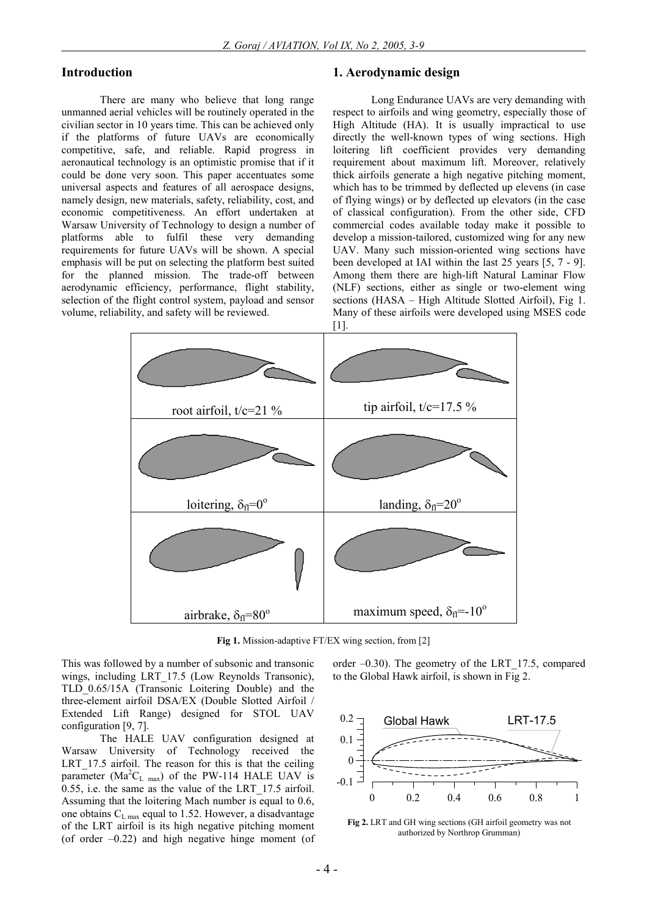#### **Introduction**

There are many who believe that long range unmanned aerial vehicles will be routinely operated in the civilian sector in 10 years time. This can be achieved only if the platforms of future UAVs are economically competitive, safe, and reliable. Rapid progress in aeronautical technology is an optimistic promise that if it could be done very soon. This paper accentuates some universal aspects and features of all aerospace designs, namely design, new materials, safety, reliability, cost, and economic competitiveness. An effort undertaken at Warsaw University of Technology to design a number of platforms able to fulfil these very demanding requirements for future UAVs will be shown. A special emphasis will be put on selecting the platform best suited for the planned mission. The trade-off between aerodynamic efficiency, performance, flight stability, selection of the flight control system, payload and sensor volume, reliability, and safety will be reviewed.

#### **1. Aerodynamic design**

Long Endurance UAVs are very demanding with respect to airfoils and wing geometry, especially those of High Altitude (HA). It is usually impractical to use directly the well-known types of wing sections. High loitering lift coefficient provides very demanding requirement about maximum lift. Moreover, relatively thick airfoils generate a high negative pitching moment, which has to be trimmed by deflected up elevens (in case of flying wings) or by deflected up elevators (in the case of classical configuration). From the other side, CFD commercial codes available today make it possible to develop a mission-tailored, customized wing for any new UAV. Many such mission-oriented wing sections have been developed at IAI within the last 25 years [5, 7 - 9]. Among them there are high-lift Natural Laminar Flow (NLF) sections, either as single or two-element wing sections (HASA – High Altitude Slotted Airfoil), Fig 1. Many of these airfoils were developed using MSES code [1].



**Fig 1.** Mission-adaptive FT/EX wing section, from [2]

This was followed by a number of subsonic and transonic wings, including LRT 17.5 (Low Reynolds Transonic), TLD\_0.65/15A (Transonic Loitering Double) and the three-element airfoil DSA/EX (Double Slotted Airfoil / Extended Lift Range) designed for STOL UAV configuration [9, 7].

The HALE UAV configuration designed at Warsaw University of Technology received the LRT 17.5 airfoil. The reason for this is that the ceiling parameter ( $Ma^2C_L$  max) of the PW-114 HALE UAV is 0.55, i.e. the same as the value of the LRT\_17.5 airfoil. Assuming that the loitering Mach number is equal to 0.6, one obtains  $C_{L \text{ max}}$  equal to 1.52. However, a disadvantage of the LRT airfoil is its high negative pitching moment (of order –0.22) and high negative hinge moment (of order –0.30). The geometry of the LRT\_17.5, compared to the Global Hawk airfoil, is shown in Fig 2.



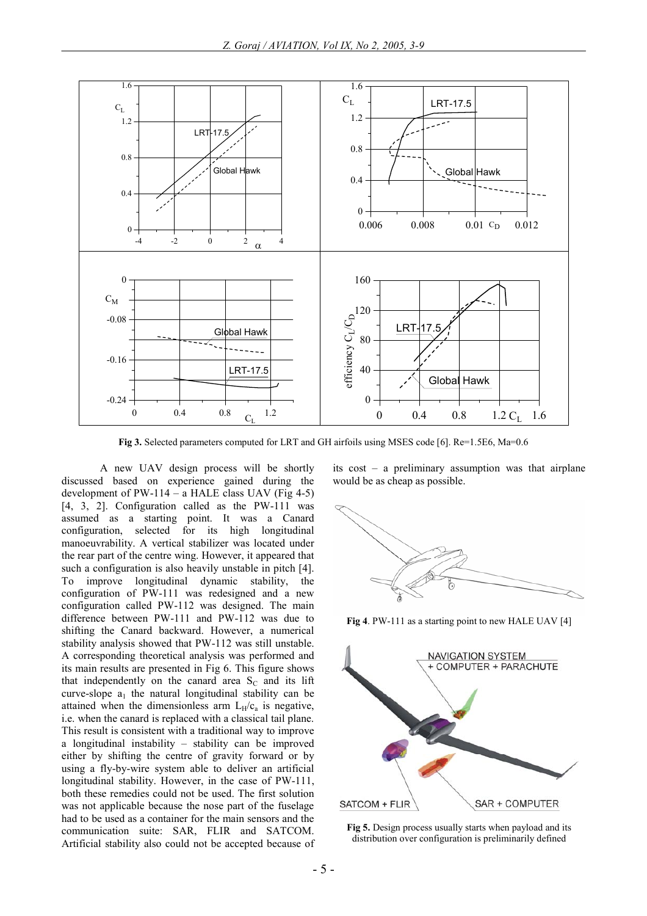

**Fig 3.** Selected parameters computed for LRT and GH airfoils using MSES code [6]. Re=1.5E6, Ma=0.6

A new UAV design process will be shortly discussed based on experience gained during the development of  $PW-114 - a$  HALE class UAV (Fig 4-5) [4, 3, 2]. Configuration called as the PW-111 was assumed as a starting point. It was a Canard configuration, selected for its high longitudinal manoeuvrability. A vertical stabilizer was located under the rear part of the centre wing. However, it appeared that such a configuration is also heavily unstable in pitch [4]. To improve longitudinal dynamic stability, the configuration of PW-111 was redesigned and a new configuration called PW-112 was designed. The main difference between PW-111 and PW-112 was due to shifting the Canard backward. However, a numerical stability analysis showed that PW-112 was still unstable. A corresponding theoretical analysis was performed and its main results are presented in Fig 6. This figure shows that independently on the canard area  $S_C$  and its lift curve-slope  $a_1$  the natural longitudinal stability can be attained when the dimensionless arm  $L_H/c_a$  is negative, i.e. when the canard is replaced with a classical tail plane. This result is consistent with a traditional way to improve a longitudinal instability – stability can be improved either by shifting the centre of gravity forward or by using a fly-by-wire system able to deliver an artificial longitudinal stability. However, in the case of PW-111, both these remedies could not be used. The first solution was not applicable because the nose part of the fuselage had to be used as a container for the main sensors and the communication suite: SAR, FLIR and SATCOM. Artificial stability also could not be accepted because of

its cost – a preliminary assumption was that airplane would be as cheap as possible.



**Fig 4**. PW-111 as a starting point to new HALE UAV [4]



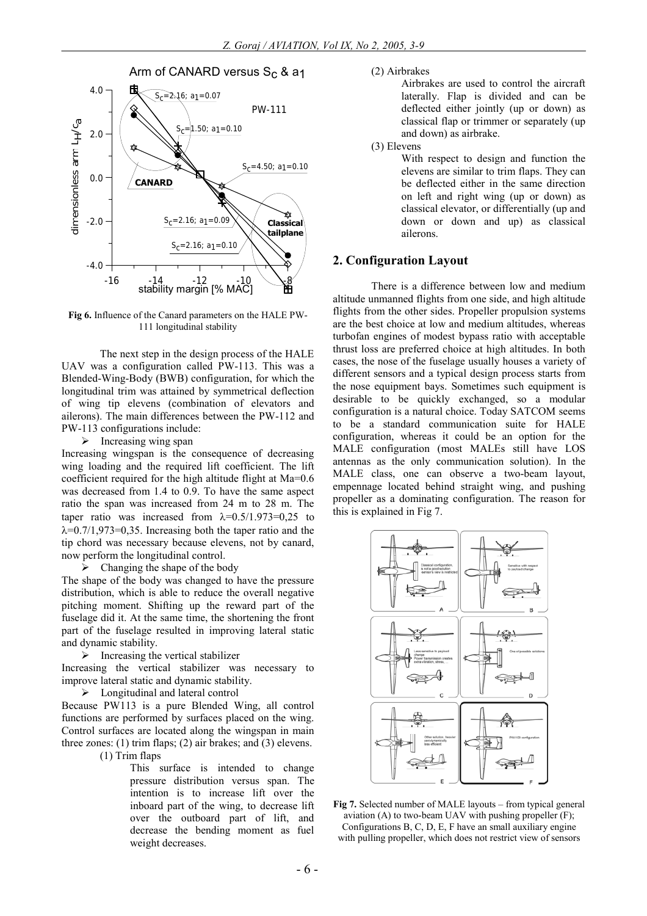

**Fig 6.** Influence of the Canard parameters on the HALE PW-111 longitudinal stability

The next step in the design process of the HALE UAV was a configuration called PW-113. This was a Blended-Wing-Body (BWB) configuration, for which the longitudinal trim was attained by symmetrical deflection of wing tip elevens (combination of elevators and ailerons). The main differences between the PW-112 and PW-113 configurations include:

 $\triangleright$  Increasing wing span

Increasing wingspan is the consequence of decreasing wing loading and the required lift coefficient. The lift coefficient required for the high altitude flight at Ma=0.6 was decreased from 1.4 to 0.9. To have the same aspect ratio the span was increased from 24 m to 28 m. The taper ratio was increased from  $\lambda=0.5/1.973=0.25$  to  $\lambda$ =0.7/1,973=0,35. Increasing both the taper ratio and the tip chord was necessary because elevens, not by canard, now perform the longitudinal control.

 $\triangleright$  Changing the shape of the body

The shape of the body was changed to have the pressure distribution, which is able to reduce the overall negative pitching moment. Shifting up the reward part of the fuselage did it. At the same time, the shortening the front part of the fuselage resulted in improving lateral static and dynamic stability.

 $\triangleright$  Increasing the vertical stabilizer

Increasing the vertical stabilizer was necessary to improve lateral static and dynamic stability.

 $\triangleright$  Longitudinal and lateral control

Because PW113 is a pure Blended Wing, all control functions are performed by surfaces placed on the wing. Control surfaces are located along the wingspan in main three zones: (1) trim flaps; (2) air brakes; and (3) elevens.

(1) Trim flaps

This surface is intended to change pressure distribution versus span. The intention is to increase lift over the inboard part of the wing, to decrease lift over the outboard part of lift, and decrease the bending moment as fuel weight decreases.

(2) Airbrakes

Airbrakes are used to control the aircraft laterally. Flap is divided and can be deflected either jointly (up or down) as classical flap or trimmer or separately (up and down) as airbrake.

(3) Elevens

With respect to design and function the elevens are similar to trim flaps. They can be deflected either in the same direction on left and right wing (up or down) as classical elevator, or differentially (up and down or down and up) as classical ailerons.

### **2. Configuration Layout**

There is a difference between low and medium altitude unmanned flights from one side, and high altitude flights from the other sides. Propeller propulsion systems are the best choice at low and medium altitudes, whereas turbofan engines of modest bypass ratio with acceptable thrust loss are preferred choice at high altitudes. In both cases, the nose of the fuselage usually houses a variety of different sensors and a typical design process starts from the nose equipment bays. Sometimes such equipment is desirable to be quickly exchanged, so a modular configuration is a natural choice. Today SATCOM seems to be a standard communication suite for HALE configuration, whereas it could be an option for the MALE configuration (most MALEs still have LOS antennas as the only communication solution). In the MALE class, one can observe a two-beam layout, empennage located behind straight wing, and pushing propeller as a dominating configuration. The reason for this is explained in Fig 7.



**Fig 7.** Selected number of MALE layouts – from typical general aviation  $(A)$  to two-beam UAV with pushing propeller  $(F)$ ; Configurations B, C, D, E, F have an small auxiliary engine with pulling propeller, which does not restrict view of sensors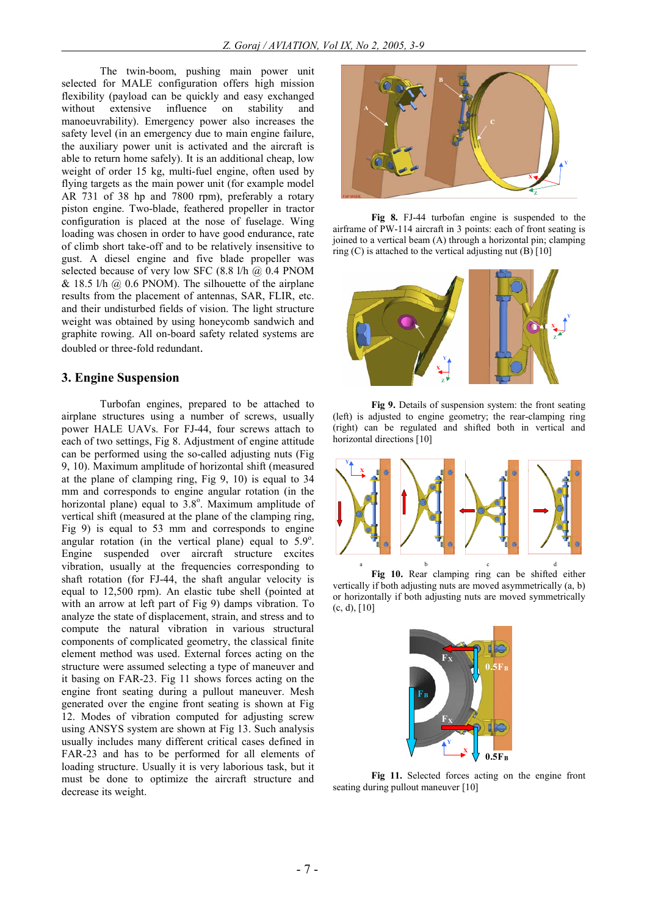The twin-boom, pushing main power unit selected for MALE configuration offers high mission flexibility (payload can be quickly and easy exchanged without extensive influence on stability and manoeuvrability). Emergency power also increases the safety level (in an emergency due to main engine failure, the auxiliary power unit is activated and the aircraft is able to return home safely). It is an additional cheap, low weight of order 15 kg, multi-fuel engine, often used by flying targets as the main power unit (for example model AR 731 of 38 hp and 7800 rpm), preferably a rotary piston engine. Two-blade, feathered propeller in tractor configuration is placed at the nose of fuselage. Wing loading was chosen in order to have good endurance, rate of climb short take-off and to be relatively insensitive to gust. A diesel engine and five blade propeller was selected because of very low SFC (8.8 l/h @ 0.4 PNOM  $& 18.5$  l/h  $& (0.6$  PNOM). The silhouette of the airplane results from the placement of antennas, SAR, FLIR, etc. and their undisturbed fields of vision. The light structure weight was obtained by using honeycomb sandwich and graphite rowing. All on-board safety related systems are doubled or three-fold redundant.

#### **3. Engine Suspension**

Turbofan engines, prepared to be attached to airplane structures using a number of screws, usually power HALE UAVs. For FJ-44, four screws attach to each of two settings, Fig 8. Adjustment of engine attitude can be performed using the so-called adjusting nuts (Fig 9, 10). Maximum amplitude of horizontal shift (measured at the plane of clamping ring, Fig 9, 10) is equal to 34 mm and corresponds to engine angular rotation (in the horizontal plane) equal to  $3.8^\circ$ . Maximum amplitude of vertical shift (measured at the plane of the clamping ring, Fig 9) is equal to 53 mm and corresponds to engine angular rotation (in the vertical plane) equal to  $5.9^\circ$ . Engine suspended over aircraft structure excites vibration, usually at the frequencies corresponding to shaft rotation (for FJ-44, the shaft angular velocity is equal to 12,500 rpm). An elastic tube shell (pointed at with an arrow at left part of Fig 9) damps vibration. To analyze the state of displacement, strain, and stress and to compute the natural vibration in various structural components of complicated geometry, the classical finite element method was used. External forces acting on the structure were assumed selecting a type of maneuver and it basing on FAR-23. Fig 11 shows forces acting on the engine front seating during a pullout maneuver. Mesh generated over the engine front seating is shown at Fig 12. Modes of vibration computed for adjusting screw using ANSYS system are shown at Fig 13. Such analysis usually includes many different critical cases defined in FAR-23 and has to be performed for all elements of loading structure. Usually it is very laborious task, but it must be done to optimize the aircraft structure and decrease its weight.



**Fig 8.** FJ-44 turbofan engine is suspended to the airframe of PW-114 aircraft in 3 points: each of front seating is joined to a vertical beam (A) through a horizontal pin; clamping ring  $(C)$  is attached to the vertical adjusting nut  $(B)$  [10]



**Fig 9.** Details of suspension system: the front seating (left) is adjusted to engine geometry; the rear-clamping ring (right) can be regulated and shifted both in vertical and horizontal directions [10]



**Fig 10.** Rear clamping ring can be shifted either vertically if both adjusting nuts are moved asymmetrically (a, b) or horizontally if both adjusting nuts are moved symmetrically  $(c, d), [10]$ 



**Fig 11.** Selected forces acting on the engine front seating during pullout maneuver [10]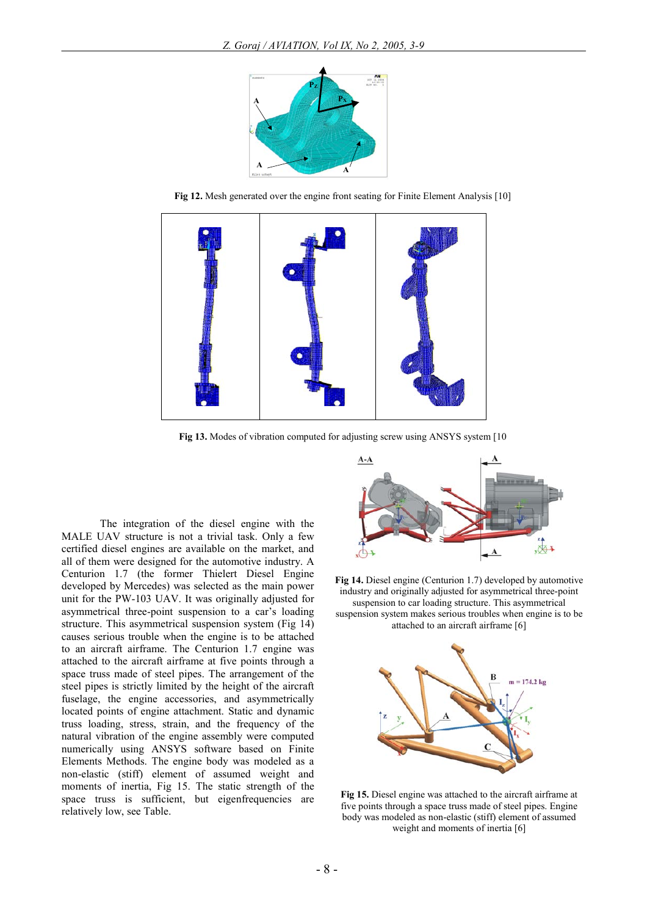

**Fig 12.** Mesh generated over the engine front seating for Finite Element Analysis [10]



**Fig 13.** Modes of vibration computed for adjusting screw using ANSYS system [10

The integration of the diesel engine with the MALE UAV structure is not a trivial task. Only a few certified diesel engines are available on the market, and all of them were designed for the automotive industry. A Centurion 1.7 (the former Thielert Diesel Engine developed by Mercedes) was selected as the main power unit for the PW-103 UAV. It was originally adjusted for asymmetrical three-point suspension to a car's loading structure. This asymmetrical suspension system (Fig 14) causes serious trouble when the engine is to be attached to an aircraft airframe. The Centurion 1.7 engine was attached to the aircraft airframe at five points through a space truss made of steel pipes. The arrangement of the steel pipes is strictly limited by the height of the aircraft fuselage, the engine accessories, and asymmetrically located points of engine attachment. Static and dynamic truss loading, stress, strain, and the frequency of the natural vibration of the engine assembly were computed numerically using ANSYS software based on Finite Elements Methods. The engine body was modeled as a non-elastic (stiff) element of assumed weight and moments of inertia, Fig 15. The static strength of the space truss is sufficient, but eigenfrequencies are relatively low, see Table.



**Fig 14.** Diesel engine (Centurion 1.7) developed by automotive industry and originally adjusted for asymmetrical three-point suspension to car loading structure. This asymmetrical suspension system makes serious troubles when engine is to be attached to an aircraft airframe [6]



**Fig 15.** Diesel engine was attached to the aircraft airframe at five points through a space truss made of steel pipes. Engine body was modeled as non-elastic (stiff) element of assumed weight and moments of inertia [6]